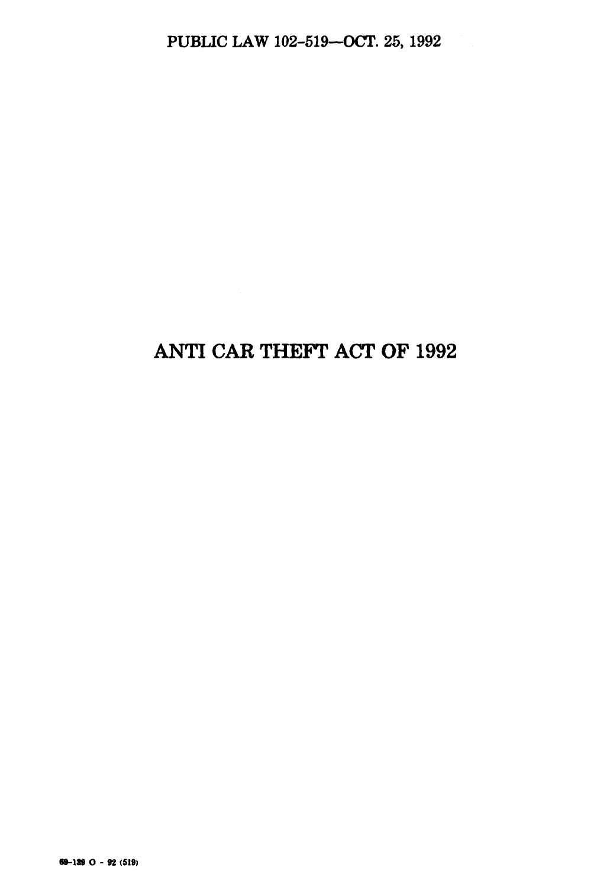# **ANTI CAR THEFT ACT OF 1992**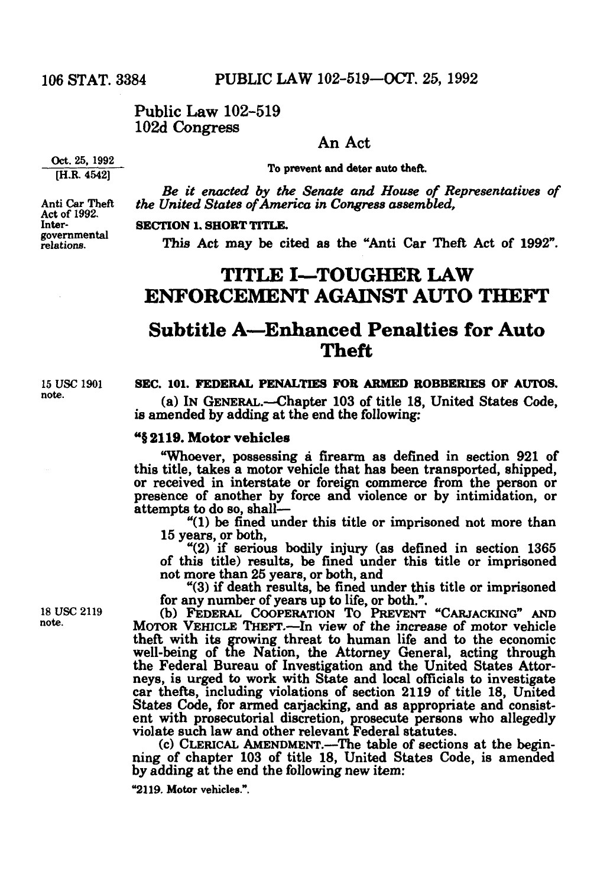### Public Law 102-519 102d Congress

#### An Act

To prevent and deter auto theft.

*Be it enacted by the Senate and House of Representatives of*  Anti Car Theft *the United States of America in Congress assembled,*<br>Act of 1992.<br>Inter-**SECTION 1. SHORT TITLE.** 

relations. **governmental This Act may be cited as the "Anti Car Theft Act of 1992".** 

### **TITLE I—TOUGHER LAW ENFORCEMENT AGAINST AUTO THEFT**

### **Subtitle A—Enhanced Penalties for Auto Theft**

note

#### 15 USC 1901 **SEC. 101. FEDERAL PENALTIES FOR ARMED ROBBERIES OF AUTOS.**

 (a) IN GENERAL.—Chapter 103 of title 18, United States Code, is amended by adding at the end the following:

#### "§ 2119. Motor vehicles

"Whoever, possessing a firearm as defined in section 921 of or received in interstate or foreign commerce from the person or presence of another by force and violence or by intimidation, or attempts to do so, shall—

 $4(1)$  be fined under this title or imprisoned not more than 15 years, or both,

" $(2)$  if serious bodily injury (as defined in section 1365) of this title) results, be fined under this title or imprisoned not more than 25 years, or both, and

"(3) if death results, be fined under this title or imprisoned

18 USC 2119 (b) FEDERAL COOPERATION TO PREVENT "CARJACKING" AND MOTOR VEHICLE THEFT.—In view of the increase of motor vehicle theft with its growing threat to human life and to the economic well-being of the Nation, the Attorney General, acting through the Federal Bureau of Investigation and the United States Attorneys, is urged to work with State and local officials to investigate car thefts, including violations of section 2119 of title 18, United States Code, for armed carjacking, and as appropriate and consistent with prosecutorial discretion, prosecute persons who allegedly<br>violate such law and other relevant Federal statutes.<br>(c) CLERICAL AMENDMENT.—The table of sections at the begin-<br>ning of chapter 103 of title 18, United S

by adding at the end the following new item:

"2119. Motor vehicles.".

note

Inter-**INTER- SECTION 1. SHORT TITLE.** 

Oct. 25, 1992 [H.R. 4542]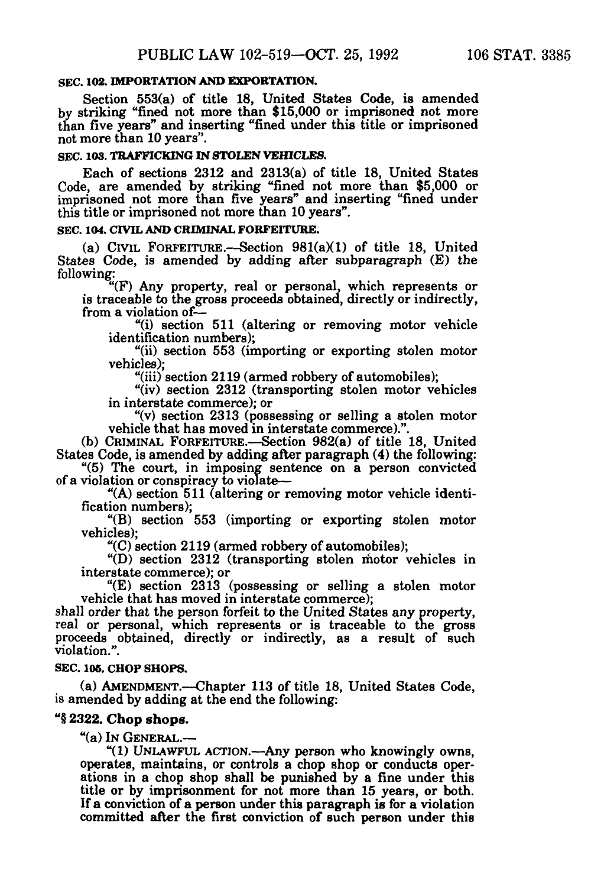#### **SEC. 102. IMPORTATIONANDEXPORTATION.**

Section 553(a) of title 18, United States Code, is amended by striking "fined not more than \$15,000 or imprisoned not more than five years" and inserting "fined under this title or imprisoned not more than 10 years".

#### **SEC. 103. TRAFFICKING IN STOLEN VEHICLES.**

Each of sections 2312 and 2313(a) of title 18, United States Code, are amended by striking "fined not more than \$5,000 or imprisoned not more than five years" and inserting "fined under this title or imprisoned not more than 10years".

#### **SEC. 104. CIVIL AND CRIMINAL FORFEITURE.**

(a) CIVIL FORFEITURE.—Section 981(a)(1) of title 18, United States Code, is amended by adding after subparagraph (E) the following:

"(F) Any property, real or personal, which represents or is traceable to the gross proceeds obtained, directly or indirectly, from a violation of— "(i) section 511 (altering or removing motor vehicle

identification numbers); "(ii) section 553 (importing or exporting stolen motor

vehicles);<br>"(iii) section 2119 (armed robbery of automobiles);

"(iv) section 2312 (transporting stolen motor vehicles in interstate commerce); or

"(v) section 2313 (possessing or selling a stolen motor vehicle that has moved in interstate commerce).".

(b) CRIMINAL FORFEITURE.—Section  $982(a)$  of title 18, United States Code, is amended by adding after paragraph (4) the following:

"(5) The court, in imposing sentence on a person convicted of a violation or conspiracy to violate—

"(A) section 511 (altering or removing motor vehicle identi-<br>fication numbers);<br>"(B) section 553 (importing or exporting stolen motor

vehicles);<br>"(C) section 2119 (armed robbery of automobiles);

"(D) section 2312 (transporting stolen motor vehicles in interstate commerce); or

"(E) section 2313 (possessing or selling a stolen motor

vehicle that has moved in interstate commerce); shall order that the person forfeit to the United States any property, real or personal, which represents or is traceable to the gross real or personal, which represents or is traceable to the gross proceeds obtained, directly or indirectly, as a result of such violation.".

#### **SEC. 106. CHOP SHOPS.**

(a) AMENDMENT.—Chapter 113 of title 18, United States Code, is amended by adding at the end the following:

#### "§2322. **Chop shops.**

"(a) IN GENERAL.—<br>"(1) UNLAWFUL ACTION.—Any person who knowingly owns, operates, maintains, or controls a chop shop or conducts operations in a chop shop shall be punished by a fine under this title or by imprisonment for not more than 15 years, or both. If a conviction of a person under this paragraph is for a violation committed after the first conviction of such person under this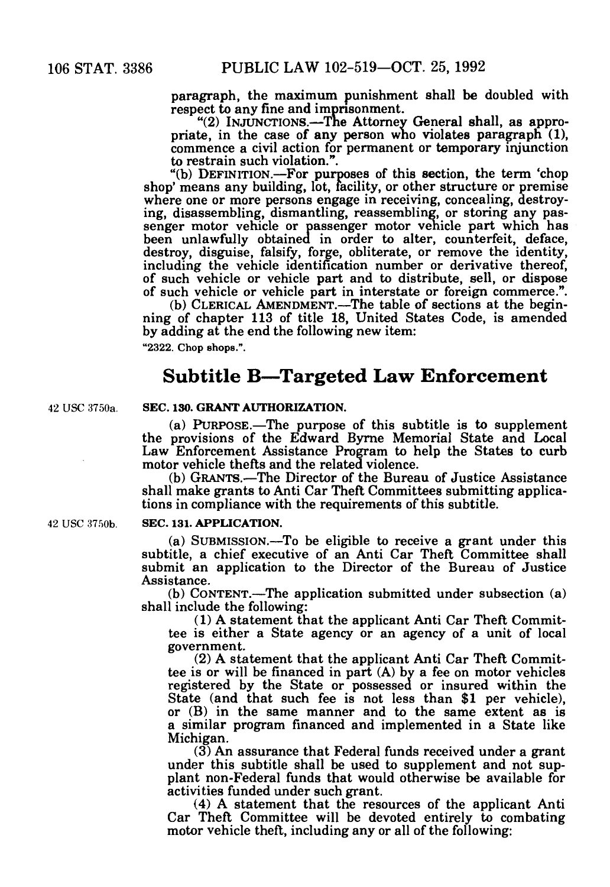paragraph, the maximum punishment shall be doubled with respect to any fine and imprisonment.

"(2) INJUNCTIONS.—The Attorney General shall, as appropriate, in the case of any person who violates paragraph  $(1)$ , commence a civil action for permanent or temporary injunction to restrain such violation.".

"(b) DEFINITION.—For purposes of this section, the term 'chop shop' means any building, lot, facility, or other structure or premise where one or more persons engage in receiving, concealing, destroying, disassembling, dismantling, reassembling, or storing any passenger motor vehicle part which has been unlawfully obtained in order to alter, counterfeit, deface, destroy, disguise, falsify, forge, obliterate, or remove the identity, including the vehicle identification number or derivative thereof, of such vehicle or vehicle part and to distribute, sell, or dispose of such vehicle

of such vehicle or vehicle part in interstate or foreign commerce.". (b) CLERICAL AMENDMENT.—The table of sections at the begin ning of chapter 113 of title 18, United States Code, is amended by adding at the end the following new item: **"2322. Chop shops.".** 

### **Subtitle B—Targeted Law Enforcement**

#### **42 USC 3750a. SEC. 130. GRANT AUTHORIZATION.**

(a) PURPOSE.—The purpose of this subtitle is to supplement the provisions of the Edward Byrne Memorial State and Local Law Enforcement Assistance Program to help the States to curb motor vehicle thefts and the related violence.

(b) GRANTS.—The Director of the Bureau of Justice Assistance. shall make grants to Anti Car Theft Committees submitting applications in compliance with the requirements of this subtitle.

#### **42 USC 3750b. SEC. 131. APPLICATION.**

(a) SUBMISSION.—To be eligible to receive a grant under this subtitle, a chief executive of an Anti Car Theft Committee shall submit an application to the Director of the Bureau of Justice<br>Assistance.

 $(b)$  CONTENT.—The application submitted under subsection  $(a)$ shall include the following:<br>(1) A statement that the applicant Anti Car Theft Commit-

tee is either a State agency or an agency of a unit of local government.

(2) A statement that the applicant Anti Car Theft Commit-<br>tee is or will be financed in part (A) by a fee on motor vehicles registered by the State or possessed or insured within the State (and that such fee is not less than \$1 per vehicle), or (B) in the same manner and to the same extent as is a similar program financed and implemented in a State like

 $(3)$  An assurance that Federal funds received under a grant under this subtitle shall be used to supplement and not supplant non-Federal funds that would otherwise be available for activities funded under such grant.

 $(4)$  A statement that the resources of the applicant Anti Car Theft Committee will be devoted entirely to combating motor vehicle theft, including any or all of the following: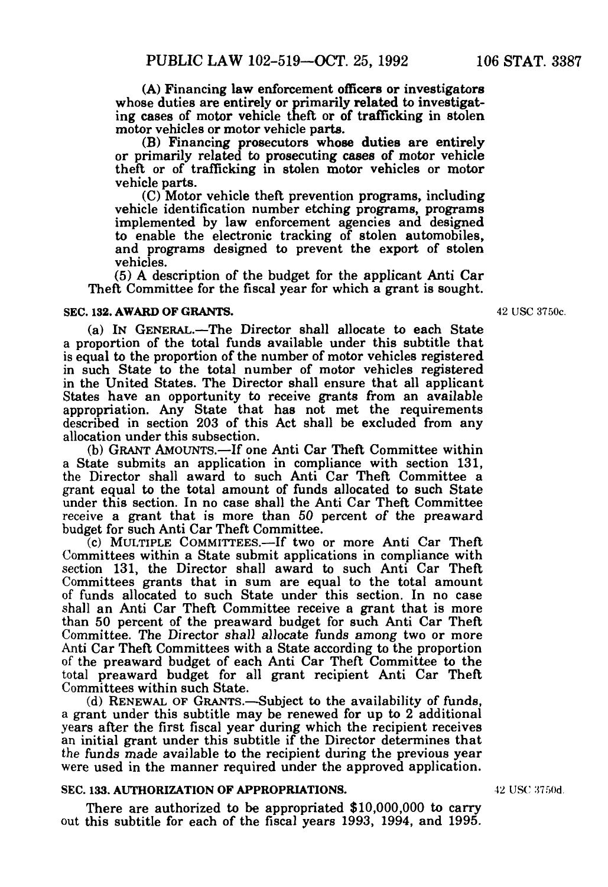(A) Financing law enforcement officers or investigators whose duties are entirely or primarily related to investigating cases of motor vehicle theft or of trafficking in stolen motor vehicles or motor vehicle parts.

(B) Financing prosecutors whose duties are entirely or primarily related to prosecuting cases of motor vehicle theft or of trafficking in stolen motor vehicles or motor

(C) Motor vehicle theft prevention programs, including vehicle identification number etching programs, programs implemented by law enforcement agencies and designed<br>to enable the electronic tracking of stolen automobiles, and programs designed to prevent the export of stolen vehicles.

 $(5)$  A description of the budget for the applicant Anti Car Theft Committee for the fiscal year for which a grant is sought.

#### **SEC. 132. AWARD OF GRANTS.** 42 USC 3750c.

(a) IN GENERAL.—The Director shall allocate to each State a proportion of the total funds available under this subtitle that is equal to the proportion of the number of motor vehicles registered in such State to the total number of motor vehicles registered in the United States. The Director shall ensure that all applicant States have an opportunity to receive grants from an available appropriation. Any State that has not met the requirements described in section 203 of this Act shall be excluded from any allocation under this subsection.<br>(b) GRANT AMOUNTS.—If one Anti Car Theft Committee within a State submits an application in compliance with section 131,

the Director shall award to such Anti Car Theft Committee a grant equal to the total amount of funds allocated to such State under this section. In no case shall the Anti Car Theft Committee receive a grant that is more than 50 percent of the preaward budget for such Anti Car Theft Committee.

 $\overline{c}$  (c) MULTIPLE COMMITTEES.—If two or more Anti Car Theft Committees within a State submit applications in compliance with section 131, the Director shall award to such Anti Car Theft Committees grants that in sum are equal to the total amount of funds allocated to such State under this section. In no case shall an Anti Car Theft Committee receive a grant that is more than 50 percent of the preaward budget for such Anti Car Theft Committee. The Director shall allocate funds among two or more Anti Car Theft Committees with a State according to the proportion of the preaward budget of each Anti Car Theft Committee to the total preaward budget for all grant recipient Anti Car Theft Committees within such State.

(d) RENEWAL OF GRANTS.—Subject to the availability of funds, a grant under this subtitle may be renewed for up to 2 additional years after the first fiscal year during which the recipient receives an initial grant under this subtitle if the Director determines that the funds made available to the recipient during the previous year were used in the manner required under the approved application.

#### **SEC. 133. AUTHORIZATION OF APPROPRIATIONS.** 42 USC 3750d.

There are authorized to be appropriated \$10,000,000 to carry out this subtitle for each of the fiscal years 1993, 1994, and 1995.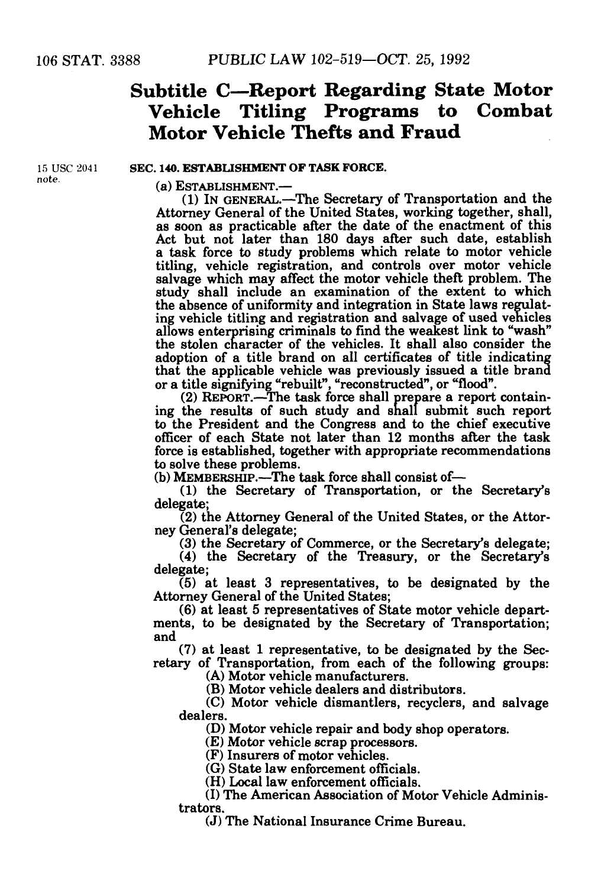## **Subtitle C—Report Regarding State Motor Vehicle Titling Programs to Combat Motor Vehicle Thefts and Fraud**

note

#### **15** USC 204**1 SEC. 140. ESTABLISHMENT OF TASK FORCE.**

(a) ESTABLISHMENT.—

(1) IN GENERAL.—The Secretary of Transportation and the as soon as practicable after the date of the enactment of this Act but not later than 180 days after such date, establish a task force to study problems which relate to motor vehicle titling, vehicle registration, and controls over motor vehicle salvage which may affect the motor vehicle theft problem. The study shall include an examination of the extent to which the absence of uniformity and integration in State laws regulat ing vehicle titling and registration and salvage of used vehicles allows enterprising criminals to find the weakest link to "wash" the stolen character of the vehicles. It shall also consider the that the applicable vehicle was previously issued a title brand

or a title signifying "rebuilt", "reconstructed", or "flood".<br>
(2) REPORT.—The task force shall prepare a report contain-<br>
ing the results of such study and shall submit such report to the President and the Congress and to the chief executive officer of each State not later than 12 months after the task force is established, together with appropriate recommendations

(b) MEMBERSHIP.—The task force shall consist of—  $(1)$  the Secretary's  $(2)$ delegate;

 $(2)$  the Attorney General of the United States, or the Attorney General's delegate;

(3) the Secretary of Commerce, or the Secretary's delegate;

(4) the Secretary of the Treasury, or the Secretary's delegate;

(5) at least 3 representatives, to be designated by the Attorney General of the United States;<br>(6) at least 5 representatives of State motor vehicle depart-

ments, to be designated by the Secretary of Transportation; and<br>(7) at least 1 representative, to be designated by the Sec-

retary of Transportation, from each of the following groups:<br>(A) Motor vehicle manufacturers.

(B) Motor vehicle dealers and distributors.<br>
(C) Motor vehicle dismantlers, recyclers, and salvage<br>
dealers.

dealers.<br>
(D) Motor vehicle repair and body shop operators.<br>
(E) Motor vehicle scrap processors.<br>
(F) Insurers of motor vehicles.<br>
(G) State law enforcement officials.<br>
(H) Local law enforcement officials.<br>
(I) The America

(J) The National Insurance Crime Bureau.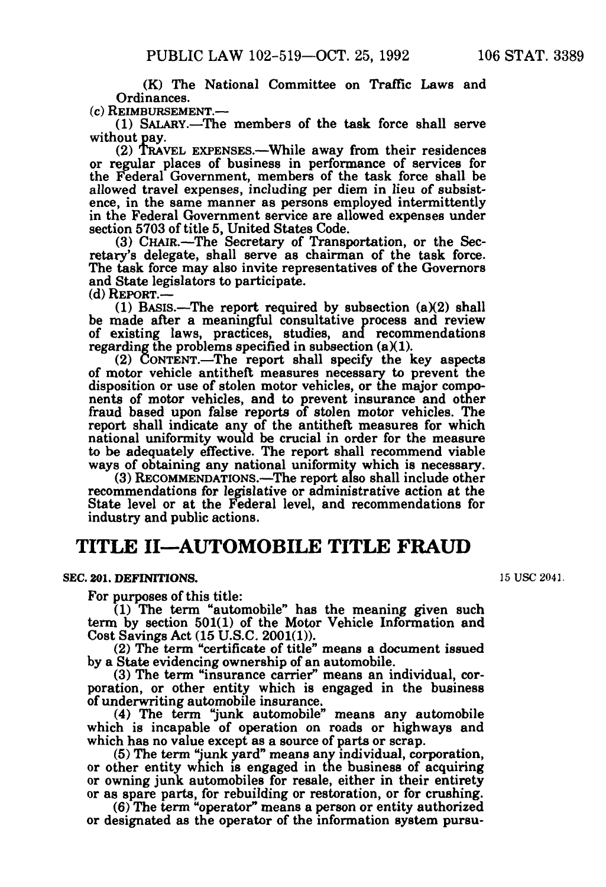(K) The National Committee on Traffic Laws and

 $(c)$  REIMBURSEMENT.—

(1) SALARY.—The members of the task force shall serve

 $(2)$  TRAVEL EXPENSES.—While away from their residences or regular places of business in performance of services for the Federal Government, members of the task force shall be allowed travel expenses, including per diem in lieu of subsistence, in the same manner as persons employed intermittently in the Federal Government service are allowed expenses under section 5703 of title 5, United States

(3) CHAIR.—The Secretary of Transportation, or the Secretary's delegate, shall serve as chairman of the task force.<br>The task force may also invite representatives of the Governors and State legislators to participate. (d) REPORT.—

(1) BASIS.—The report required by subsection  $(a)(2)$  shall be made after a meaningful consultative process and review of existing laws, practices, studies, and recommendations regarding the problems specified in subsection  $(a)(1)$ .

(2) CONTENT.—The report shall specify the key aspects of motor vehicle antitheft measures necessary to prevent the disposition or use of stolen motor vehicles, or the major components of motor vehicles, and to prevent insurance and other fraud based upon false reports of stolen motor vehicles. The report shall indicate any of the antitheft measures for which national uniformity would be crucial in order for the measure to be adequately effective. The report shall recommend viable ways of obtaining any national uniformity which is necessary. (3) RECOMMENDATIONS.—The report also shall include other

recommendations for legislative or administrative action at the State level or at the Federal level, and recommendations for industry and public actions.

### **TITLE II—AUTOMOBILE TITLE FRAUD**

#### **SEC. 201. DEFINITIONS.** 15 USC 2041.

For purposes of this title:

(1) The term "automobile" has the meaning given such term by section 501(1) of the Motor Vehicle Information and Cost Savings Act  $(15 \text{ U.S.C. } 2001(1))$ .

(2) The term "certificate of title" means a document issued by a State evidencing ownership of an automobile.

(3) The term "insurance carrier" means an individual, corporation, or other entity which is engaged in the business of underwriting automobile insurance.

of underwriting automobile insurance. (4) The term "junk automobile" means any automobile which is incapable of operation on roads or highways and

which has no value except as a source of parts or scrap.<br>
(5) The term "junk yard" means any individual, corporation, or other entity which is engaged in the business of acquiring or owning junk automobiles for resale, either in their entirety or as spare parts, for rebuilding or restoration, or for crushing. (6) The term "operator" means a person or entity authorized

or designated as the operator of the information system pursu-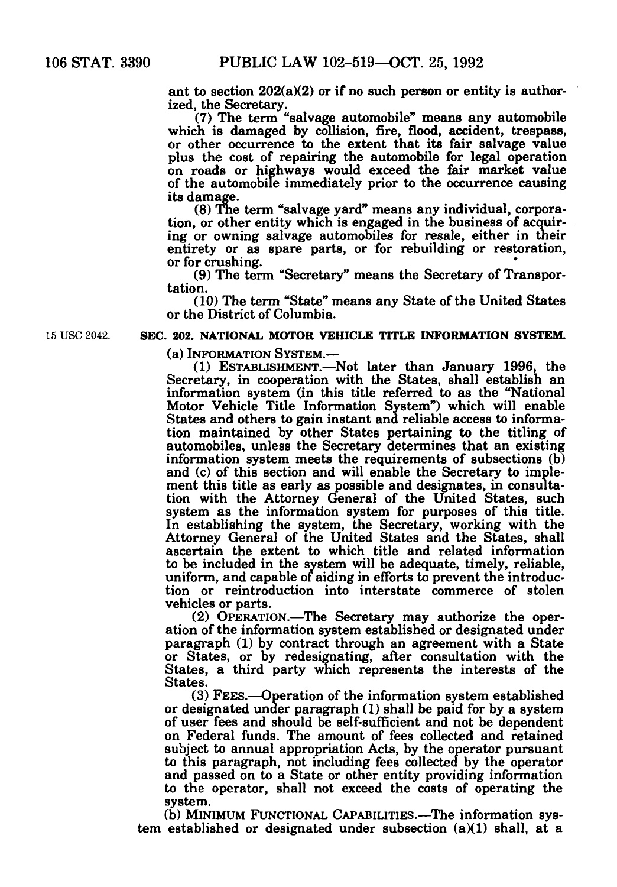ant to section 202(a)(2) or if no such person or entity is author-<br>ized, the Secretary.<br>(7) The term "salvage automobile" means any automobile

which is damaged by collision, fire, flood, accident, trespass, or other occurrence to the extent that its fair salvage value plus the cost of repairing the automobile for legal operation on roads or highways would exceed the fair market value of the automobile immediately prior to the occurrence causing

its damage.<br>(8) The term "salvage yard" means any individual, corporation, or other entity which is engaged in the business of acquiring or owning salvage automobiles for resale, either in their entirety or as spare parts, or for rebuilding or restoration, or for crushing.

(9) The term "Secretary" means the Secretary of Transpor tation.

(10) The term "State" means any State of the United States or the District of Columbia.

**15 USC2042 SEC. 202. NATIONAL MOTOR VEHICLE TITLE INFORMATION SYSTEM.** 

(a) INFORMATION SYSTEM.—

(1) ESTABLISHMENT.—Not later than January 1996, the Secretary, in cooperation with the States, shall establish an information system (in this title referred to as the "National Motor Vehicle Title Information System") which will enable tion maintained by other States pertaining to the titling of automobiles, unless the Secretary determines that an existing information system meets the requirements of subsections (b) and (c) of this section and will enable the Secretary to implement this title as early as possible and designates, in consultation with the Attorney General of the United States, such system as the information system for purposes of this title. In establishing the system, the Secretary, working with the Attorney General of the United States and the States, shall ascertain the extent to which title and related information uniform, and capable of aiding in efforts to prevent the introduction or reintroduction into interstate commerce of stolen vehicles or parts.

(2) OPERATION.—The Secretary may authorize the oper ation of the information system established or designated under paragraph (1) by contract through an agreement with a State or States, or by redesignating, after consultation with the States, a third party which represents the interests of the States.

(3) FEES.—Operation of the information system established or designated under paragraph (1) shall be paid for by a system of user fees and should be self-sufficient and not be dependent on Federal funds. The amount of fees collected and retained subject to annual appropriation Acts, by the operator pursuant to this paragraph, not including fees collected by the operator and passed on to a State or other entity providing information to the operator, shall not exceed the costs of operating the system.

(b) MINIMUM FUNCTIONAL CAPABILITIES.—The information system established or designated under subsection (a)(1) shall, at a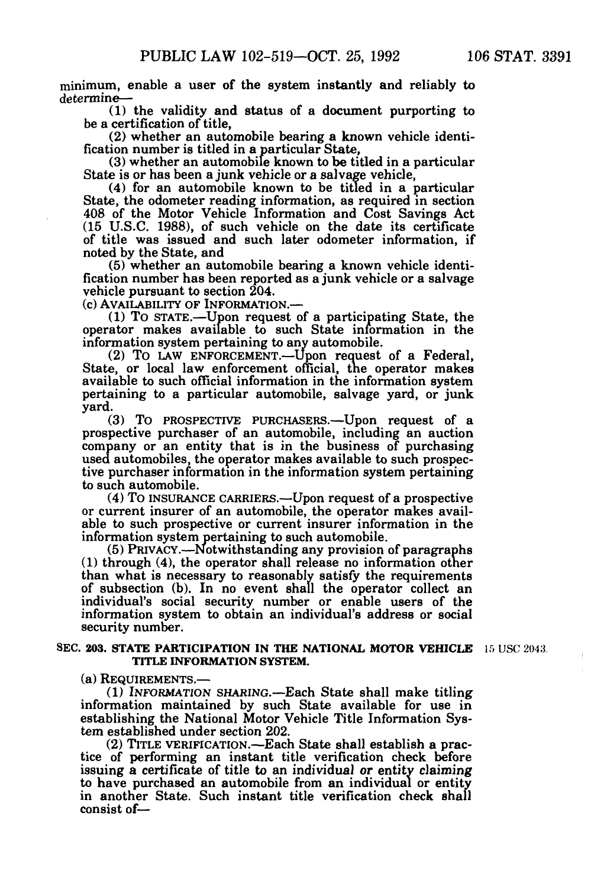minimum, enable a user of the system instantly and reliably to determine—

(1) the validity and status of a document purporting to

(2) whether an automobile bearing a known vehicle identi-<br>fication number is titled in a particular State,<br>(3) whether an automobile known to be titled in a particular<br>State is or has been a junk vehicle or a salvage vehi

 $(4)$  for an automobile known to be titled in a particular State, the odometer reading information, as required in section 408 of the Motor Vehicle Information and Cost Savings Act (15 U.S.C. 1988), of such vehicle on the date its certificate of title was issued and such later odometer information, if noted by the State, and<br>(5) whether an automobile bearing a known vehicle identi-

fication number has been reported as a junk vehicle or a salvage vehicle pursuant to section 204.

(c) AVAILABILITY OF INFORMATION.—

(1) TO STATE.—Upon request of a participating State, the operator makes available to such State information in the

information system pertaining to any automobile. (2) TO LAW ENFORCEMENT.—Upon request of a Federal, State, or local law enforcement official, the operator makes available to such official information in the information system pertaining to a particular automobile, salvage yard, or junk yard.

(3) TO PROSPECTIVE PURCHASERS.—Upon request of a prospective purchaser of an automobile, including an auction company or an entity that is in the business of purchasing used automobiles, the operator makes available to such prospective purchaser information in the information system pertaining to such automobile. (4) TO INSURANCE CARRIERS.—Upon request of a prospective

or current insurer of an automobile, the operator makes available to such prospective or current insurer information in the information system pertaining to such automobile.

(5) PRIVACY.—Notwithstanding any provision of paragraphs (1) through (4), the operator shall release no information other than what is necessary to reasonably satisfy the requirements of subsection (b). In no event shall the operator collect an individual's social security number or enable users of the information system to obtain an individual's address or social security number.

#### **SEC. 203. STATE PARTICIPATION IN THE NATIONAL MOTOR VEHICLE** 15 USC 2043. **TITLE INFORMATION SYSTEM.**

(a) REQUIREMENTS.—<br>(1) INFORMATION SHARING.—Each State shall make titling information maintained by such State available for use in establishing the National Motor Vehicle Title Information System established under section 202.<br>
(2) TITLE VERIFICATION.—Each State shall establish a practice of performing an instant title verification check before

issuing a certificate of title to an individual or entity claiming to have purchased an automobile from an individual or entity in another State. Such instant title verification check shall consist of—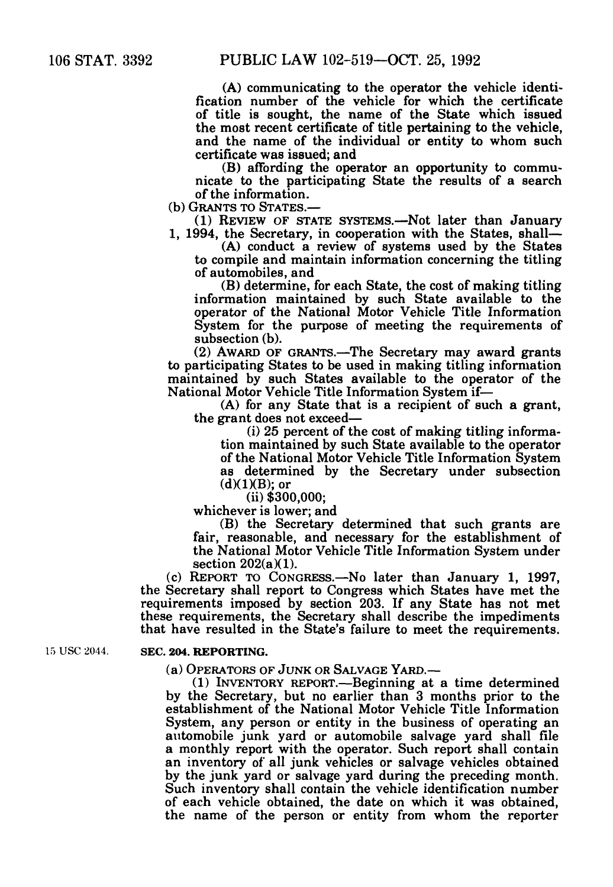(A) communicating to the operator the vehicle identification number of the vehicle for which the certificate of title is sought, the name of the State which issued the most recent certificate of title pertaining to the vehicle, and the name of the individual or entity to whom such certificate was issued; and

(B) affording the operator an opportunity to communicate to the participating State the results of a search of the information.

(b) GRANTS TO STATES.— $(1)$  REVIEW OF STATE SYSTEMS.—Not later than January

1, 1994, the Secretary, in cooperation with the States, shall— $(A)$  conduct a review of systems used by the States to compile and maintain information concerning the titling of automobiles, and<br>(B) determine, for each State, the cost of making titling

information maintained by such State available to the operator of the National Motor Vehicle Title Information System for the purpose of meeting the requirements of

 $(2)$  AWARD OF GRANTS.—The Secretary may award grants to participating States to be used in making titling information maintained by such States available to the operator of the National Motor Vehicle Title Information System if—

(A) for any State that is a recipient of such a grant,<br>the grant does not exceed—<br>(i) 25 percent of the cost of making titling informa-<br>tion maintained by such State available to the operator

of the National Motor Vehicle Title Information System as determined by the Secretary under subsection  $(d)(1)(B)$ ; or

(ii) \$300,000;

whichever is lower; and

(B) the Secretary determined that such grants are fair, reasonable, and necessary for the establishment of the National Motor Vehicle Title Information System under section  $202(a)(1)$ .

section 202(a)(l). (c) REPORT TO CONGRESS.—No later than January 1, 1997, the Secretary shall report to Congress which States have met the requirements imposed by section 203. If any State has not met these requirements, the Secretary shall describe the impediments that have resulted in the State's failure to meet the requirements.

#### 15 USC 2044 **SEC. 204. REPORTING.**

(a) OPERATORS OF JUNK OR SALVAGE YARD.—

(1) INVENTORY REPORT.—Beginning at a time determined by the Secretary, but no earlier than 3 months prior to the establishment of the National Motor Vehicle Title Information System, any person or entity in the business of operating an automobile junk yard or automobile salvage yard shall file a monthly report with the operator. Such report shall contain an inventory of all junk vehicles or salvage vehicles obtained by the junk yard or salvage yard during the preceding month. Such inventory shall contain the vehicle identification number of each vehicle obtained, the date on which it was obtained, the name of the person or entity from whom the reporter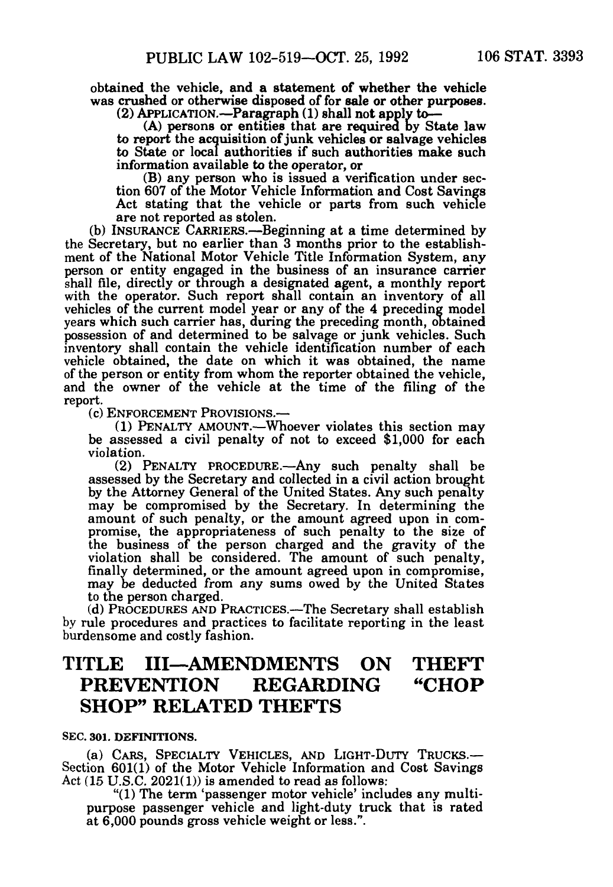obtained the vehicle, and a statement of whether the vehicle was crushed or otherwise disposed of for sale or other purposes.<br>(2) APPLICATION.—Paragraph (1) shall not apply to—<br>(A) persons or entities that are required by State law

to report the acquisition of junk vehicles or salvage vehicles to State or local authorities if such authorities make such

information available to the operator, or<br>(B) any person who is issued a verification under section 607 of the Motor Vehicle Information and Cost Savings Act stating that the vehicle or parts from such vehicle are not reported as stolen.

are not reported as stolen. (b) INSURANCE CARRIERS.—Beginning at a time determined by the Secretary, but no earlier than 3 months prior to the establish ment of the National Motor Vehicle Title Information System, any person or entity engaged in the business of an insurance carrier shall file, directly or through a designated agent, a monthly report with the operator. Such report shall contain an inventory of all vehicles of the current model year or any of the 4 preceding model years which such carrier has, during the preceding month, obtained possession of and determined to be salvage or junk vehicles. Such inventory shall contain the vehicle identification number of each vehicle obtained, the date on which it was obtained, the name of the person or entity from whom the reporter obtained the vehicle, and the owner of the vehicle at the time of the filing of the report.

(c) ENFORCEMENT PROVISIONS.—<br>(1) PENALTY AMOUNT.—Whoever violates this section may be assessed a civil penalty of not to exceed \$1,000 for each violation.

(2) PENALTY PROCEDURE.—Any such penalty shall be assessed by the Secretary and collected in a civil action brought by the Attorney General of the United States. Any such penalty may be compromised by the Secretary. In determining the amount of such penalty, or the amount agreed upon in compromise, the appropriateness of such penalty to the size of the business of the person charged and the gravity of the violation shall be considered. The amount of such penalty, finally determined, or the amount agreed upon in compromise, may be deducted from any sums owed by the United States may be deducted from any sums owed by the United States to the person charged.<br>(d) PROCEDURES AND PRACTICES.—The Secretary shall establish

by rule procedures and practices to facilitate reporting in the least burdensome and costly fashion.

### **TITLE III—AMENDMENTS ON THEFT PREVENTION REGARDING "CHOP SHOP" RELATED THEFTS**

#### **SEC. 301. DEFINITIONS.**

(a) CARS, SPECIALTY VEHICLES, AND LIGHT-DUTY TRUCKS.— Section 601(1) of the Motor Vehicle Information and Cost Savings Act  $(15 \text{ U.S.C. } 2021(1))$  is amended to read as follows:<br>"(1) The term 'passenger motor vehicle' includes any multi-

purpose passenger vehicle and light-duty truck that is rated at 6,000 pounds gross vehicle weight or less.".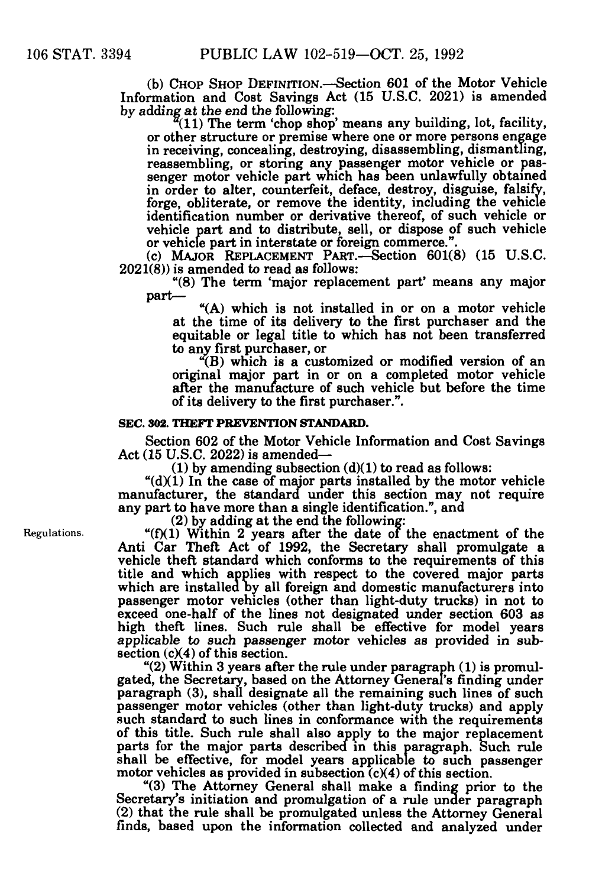(b) CHOP SHOP DEFINITION.—Section 601 of the Motor Vehicle Information and Cost Savings Act (15 U.S.C. 2021) is amended by adding at the end the following:

 $\frac{a}{b}(11)$  The term 'chop shop' means any building, lot, facility, or other structure or premise where one or more persons engage or other structure or premise where one or more persons engage<br>in receiving, concealing, destroying, disassembling, dismantling,<br>reassembling, or storing any passenger motor vehicle or pas-<br>senger motor vehicle part which in order to alter, counterfeit, deface, destroy, disguise, falsify, forge, obliterate, or remove the identity, including the vehicle identification number or derivative thereof, of such vehicle or vehicle part and to distribute, sell, or dispose of such vehicle or vehicle part in interstate or foreign commerce.".

(c) MAJOR REPLACEMENT PART.—Section  $601(8)$  (15 U.S.C. 2021(8)) is amended to read as follows:

"(8) The term 'major replacement part' means any major

 $(A)$  which is not installed in or on a motor vehicle at the time of its delivery to the first purchaser and the equitable or legal title to which has not been transferred to any first purchaser, or

"(B) which is a customized or modified version of an original major part in or on a completed motor vehicle after the manufacture of such vehicle but before the time of its delivery to the first purchaser.".

#### **SEC. 302. THEFT PREVENTION STANDARD.**

Section 602 of the Motor Vehicle Information and Cost Savings Act (15 U.S.C. 2022) is amended—

 $(1)$  by amending subsection  $(d)(1)$  to read as follows:

" $(d)(1)$  In the case of major parts installed by the motor vehicle manufacturer, the standard under this section may not require any part to have more than a single identification.", and

(2) by adding at the end the following:

" $(f)(1)$  Within 2 years after the date of the enactment of the Anti Car Theft Act of 1992, the Secretary shall promulgate a vehicle theft standard which conforms to the requirements of this title and which applies with respect to the covered major parts which are installed by all foreign and domestic manufacturers into passenger motor vehicles (other than light-duty trucks) in not to exceed one-half of the lines not designated under section 603 as high theft lines. Such rule shall be effective for model years applicable to such passenger motor vehicles as provided in subsection  $(c)(4)$  of this section.

"(2) Within 3 years after the rule under paragraph (1) is promulgated, the Secretary, based on the Attorney General's finding under paragraph (3), shall designate all the remaining such lines of such passenger motor vehicles (other than light-duty trucks) and apply such standard to such lines in conformance with the requirements of this title. Such rule shall also apply to the major replacement parts for the major parts described in this paragraph. Such rule shall be effective, for model years applicable to such passenger motor vehicles as provided in subsection  $(c)(4)$  of this section.

"(3) The Attorney General shall make a finding prior to the Secretary's initiation and promulgation of a rule under paragraph (2) that the rule shall be promulgated unless the Attorney General finds, based upon the information collected and analyzed under

Regulations.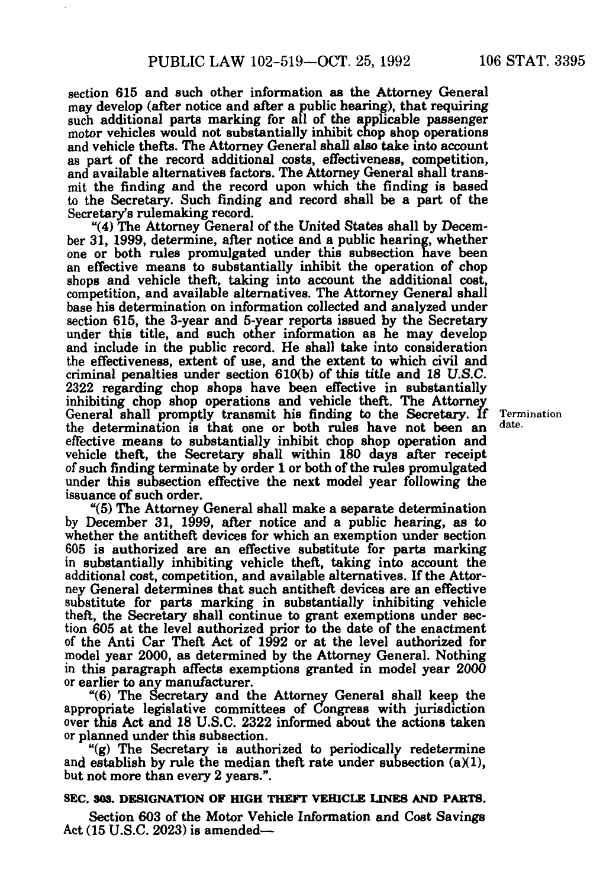section 615 and such other information as the Attorney General may develop (after notice and after a public hearing), that requiring such additional parts marking for all of the applicable passenger motor vehicles would not substantially inhibit chop shop operations and vehicle thefts. The Attorney General shall also take into account as part of the record additional costs, effectiveness, competition, and available alternatives factors. The Attorney General shall trans-<br>mit the finding and the record upon which the finding is based to the Secretary. Such finding and record shall be a part of the Secretary's rulemaking record.

"(4) The Attorney General of the United States shall by December 31, 1999, determine, after notice and a public hearing, whether one or both rules promulgated under this subsection have been an effective means to substantially inhibit the operation of chop shops and vehicle theft, taking into account the additional cost, competition, and available alternatives. The Attorney General shall base his determination on information collected and analyzed under under this title, and such other information as he may develop and include in the public record. He shall take into consideration the effectiveness, extent of use, and the extent to which civil and criminal penalties under section 610(b) of this title and 18 U.S.C.<br>2322 regarding chop shops have been effective in substantially<br>inhibiting chop shop operations and vehicle theft. The Attorney<br>General shall promptly tra the determination is that one or both rules have not been an effective means to substantially inhibit chop shop operation and vehicle theft, the Secretary shall within 180 days after receipt of such finding terminate by order 1 or both of the rules promulgated under this subsection effective the next model year following the issuance of such order.

"(5) The Attorney General shall make a separate determination by December 31, 1999, after notice and a public hearing, as to whether the antitheft devices for which an exemption under section 605 is authorized are an effective substitute for parts marking in substantially inhibiting vehicle theft, taking into account the additional cost, competition, and available alternatives. If the Attorney General determines that such antitheft devices are an effective substitute for parts marking in substantially inhibiting vehicle theft, the Secretary shall continue to grant exemptions under section 605 at the level authorized prior to the date of the enactment of the Anti Car Theft Act of 1992 or at the level authorized for model year 2000, as determined by the Attorney General. Nothing in this paragraph affects exemptions granted in model year 2000 or earlier to any manufacturer.

"(6) The Secretary and the Attorney General shall keep the appropriate legislative committees of Congress with jurisdiction over this Act and 18 U.S.C. 2322 informed about the actions taken<br>or planned under this subsection.

"(g) The Secretary is authorized to periodically redetermine and establish by rule the median theft rate under subsection  $(a)(1)$ , but not more than every 2 years.".

#### **SEC. 303. DESIGNATION OF HIGH THEFT VEHICLE LINES AND PARTS.**

Section 603 of the Motor Vehicle Information and Cost Savings Act (15 U.S.C. 2023) is amended—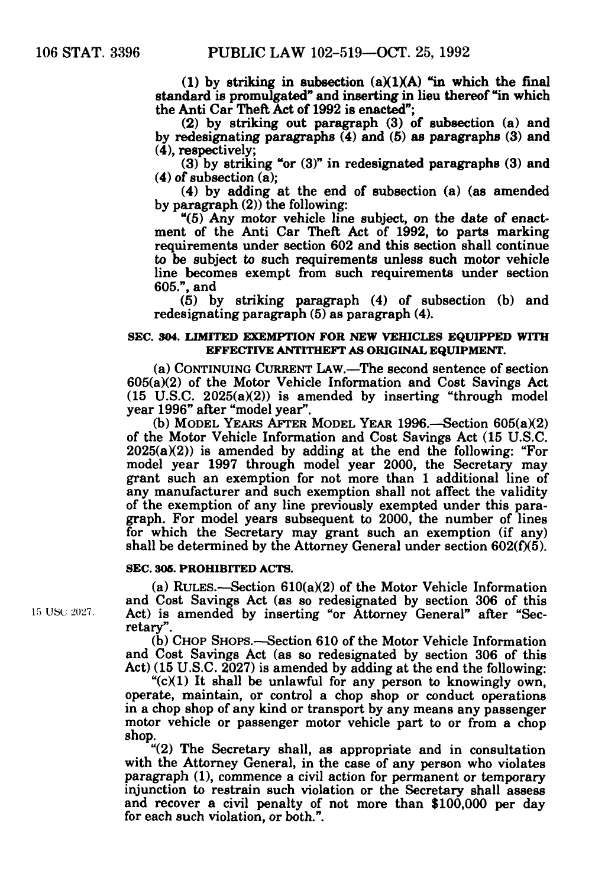(1) by striking in subsection  $(a)(1)(A)$  "in which the final standard is promulgated" and inserting in lieu thereof "in which the Anti Car Theft Act of 1992 is enacted";

(2) by striking out paragraph (3) of subsection (a) and by redesignating paragraphs (4) and (5) as paragraphs (3) and (4), respectively;

(3) by striking "or (3)" in redesignated paragraphs (3) and (4) of subsection (a);

(4) by adding at the end of subsection (a) (as amended by paragraph (2)) the following:<br>"(5) Any motor vehicle line subject, on the date of enact-

ment of the Anti Car Theft Act of 1992, to parts marking requirements under section 602 and this section shall continue to be subject to such requirements unless such motor vehicle line becomes exempt from such requirements under section 605.", and

(5) by striking paragraph (4) of subsection (b) and redesignating paragraph (5) as paragraph (4).

#### **SEC. 304. LIMITED EXEMPTION FOR NEW VEHICLES EQUIPPED WITH EFFECTIVE ANTITHEFT AS ORIGINAL EQUIPMENT.**

(a) CONTINUING CURRENT LAW.—The second sentence of section 605(a)(2) of the Motor Vehicle Information and Cost Savings Act (15 U.S.C. 2025(a)(2)) is amended by inserting "through model

(b) MODEL YEARS AFTER MODEL YEAR 1996.—Section 605( $a$ )(2) of the Motor Vehicle Information and Cost Savings Act (15 U.S.C.  $2025(a)(2)$  is amended by adding at the end the following: "For model year 1997 through model year 2000, the Secretary may grant such an exemption for not more than 1 additional line of any manufacturer and such exemption shall not affect the validity of the exemption of any line previously exempted under this para- graph. For model years subsequent to 2000, the number of lines for which the Secretary may grant such an exemption (if any) shall be determined by the Attorney General under section  $602(f)(5)$ .

#### **SEC. 305. PROHIBITED ACTS.**

(a) RULES.—Section  $610(a)(2)$  of the Motor Vehicle Information and Cost Savings Act (as so redesignated by section 306 of this 15 USC 2027. Act) is amended by inserting "or Attorney General" after "Secretary".<br>
(b) CHOP SHOPS.—Section 610 of the Motor Vehicle Information

and Cost Savings Act (as so redesignated by section 306 of this Act) (15 U.S.C. 2027) is amended by adding at the end the following:

 $C(X)$  It shall be unlawful for any person to knowingly own, operate, maintain, or control a chop shop or conduct operations in a chop shop of any kind or transport by any means any passenger motor vehicle or passenger motor vehicle part to or from a chop shop.

"(2) The Secretary shall, as appropriate and in consultation with the Attorney General, in the case of any person who violates paragraph (1), commence a civil action for permanent or temporary injunction to restrain such violation or the Secretary shall assess and recover a civil penalty of not more than \$100,000 per day for each such violation, or both.".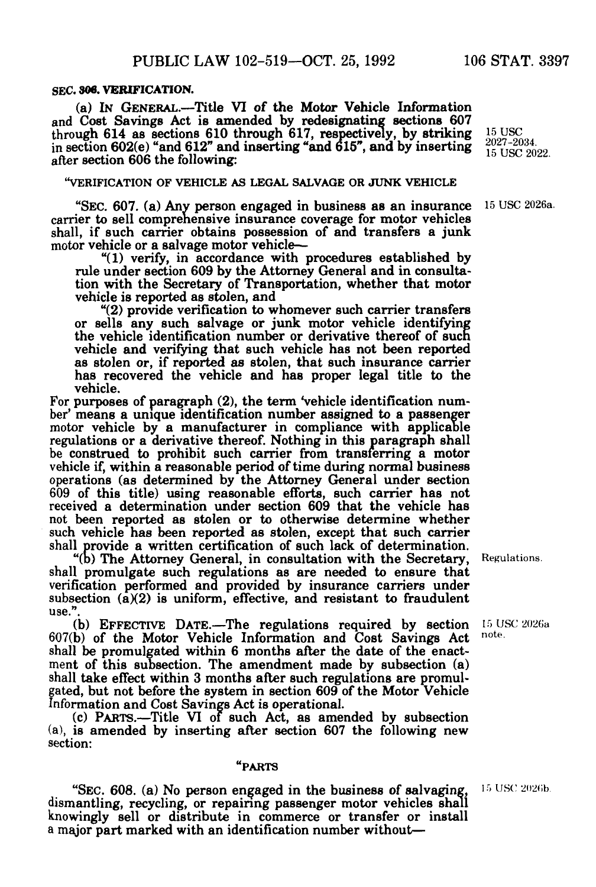#### SEC. **306. VERIFICATION.**

(a) IN GENERAL.—Title VI of the Motor Vehicle Information and Cost Savings Act is amended by redesignating sections 607 through 614 as sections 610 through 617, respectively, by striking  $^{15}$  USC in section 602(e) "and 612" and inserting "and 615", and by inserting  $\frac{2027-2034}{15 \text{ USC } 2022}$ after section 606 the following:

#### "VERIFICATION OF VEHICLE AS LEGAL SALVAGE OR JUNK VEHICLE

"SEC. 607. (a) Any person engaged in business as an insurance carrier to sell comprehensive insurance coverage for motor vehicles shall, if such carrier obtains possession of and transfers a junk motor vehicle or a salvage motor vehicle—

 $"$ (1) verify, in accordance with procedures established by rule under section 609 by the Attorney General and in consultation with the Secretary of Transportation, whether that motor vehicle is reported as stolen, and

"(2) provide verification to whomever such carrier transfers or sells any such salvage or junk motor vehicle identifying the vehicle identification number or derivative thereof of such vehicle and verifying that such vehicle has not been reported as stolen or, if reported as stolen, that such insurance carrier has recovered the vehicle and has proper legal title to the

For purposes of paragraph (2), the term 'vehicle identification number' means a unique identification number assigned to a passenger motor vehicle by a manufacturer in compliance with applicable regulations or a derivative thereof. Nothing in this paragraph shall be construed to prohibit such carrier from transferring a motor vehicle if, within a reasonable period of time during normal business operations (as determined by the Attorney General under section 609 of this title) using reasonable efforts, such carrier has not received a determination under section 609 that the vehicle has not been reported as stolen or to otherwise determine whether such vehicle has been reported as stolen, except that such carrier shall provide a written certification of such lack of determination.

"(b) The Attorney General, in consultation with the Secretary, shall promulgate such regulations as are needed to ensure that verification performed and provided by insurance carriers under subsection  $(a)(2)$  is uniform, effective, and resistant to fraudulent use.".

(b) EFFECTIVE DATE.—The regulations required by section  $15 \text{ USC } 2026$ a b) of the Motor Vehicle Information and Cost Savings Act note.  $607(b)$  of the Motor Vehicle Information and Cost Savings Act note shall be promulgated within 6 months after the date of the enact-<br>ment of this subsection. The amendment made by subsection (a) ment of this subsection. The amendment made by subsection (a) shall take effect within 3 months after such regulations are promulgated, but not before the system in section 609 of the Motor Vehicle Information and Cost Savings Act is operational. (c) PARTS.—Title VI of such Act, as amended by subsection

(a), is amended by inserting after section 607 the following new section:

#### "PARTS

"SEC. 608. (a) No person engaged in the business *of* salvaging, 15 USC 2026b. dismantling, recycling, or repairing passenger motor vehicles shall knowingly sell or distribute in commerce or transfer or install a major part marked with an identification number without—

Regulations.

15USC2026a.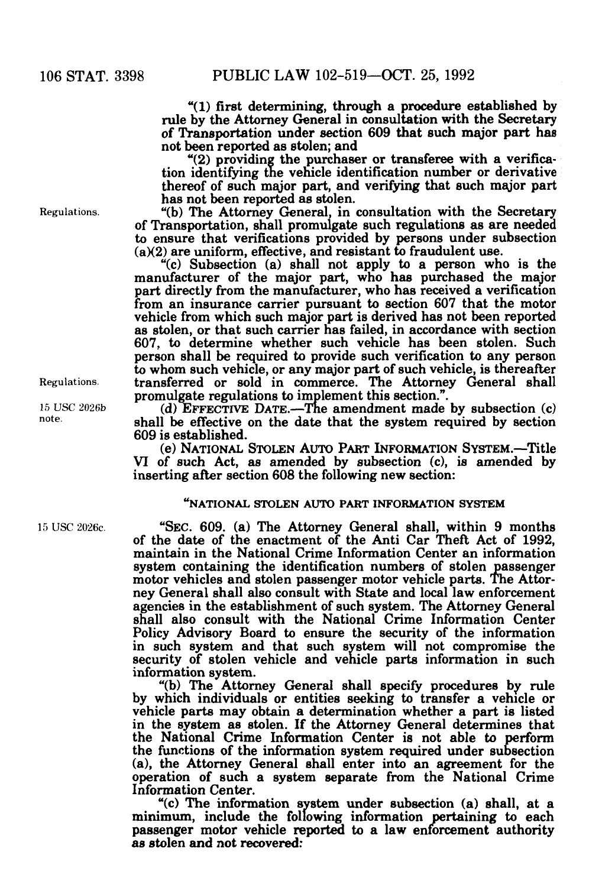"(1) first determining, through a procedure established by rule by the Attorney General in consultation with the Secretary of Transportation under section 609 that such major part has not been reported as stolen; and

" $(2)$  providing the purchaser or transferee with a verification identifying the vehicle identification number or derivative thereof of such major part, and verifying that such major part

Regulations. "(b) The Attorney General, in consultation with the Secretary of Transportation, shall promulgate such regulations as are needed to ensure that verifications provided by persons under subsection  $(a)(2)$  are uniform, effective, and resistant to fraudulent use.

"(c) Subsection (a) shall not apply to a person who is the manufacturer of the major part, who has purchased the major part directly from the manufacturer, who has received a verification from an insurance carrier pursuant to section 607 that the motor vehicle from which such major part is derived has not been reported as stolen, or that such carrier has failed, in accordance with section 607, to determine whether such vehicle has been stolen. Such person shall be required to provide such verification to any person to whom such vehicle, or any major part of such vehicle, is thereafter Regulations. transferred or sold in commerce. The Attorney General shall promulgate regulations to implement this section.".

 $p_{\text{DSC}}$  15 USC 2026b (d) EFFECTIVE DATE.—The amendment made by subsection (c) note shall be effective on the date that the system required by section 609 is established.

(e) NATIONAL STOLEN AUTO PART INFORMATION SYSTEM.—Title VI of such Act, as amended by subsection (c), is amended by inserting after section 608 the following new section:

#### **"NATIONAL STOLEN AUTO PART INFORMATION SYSTEM**

15USC2026c "SEC.609. (a) The Attorney General shall, within 9 months of the date of the enactment of the Anti Car Theft Act of 1992, maintain in the National Crime Information Center an information system containing the identification numbers of stolen passenger motor vehicles and stolen passenger motor vehicle parts. The Attor-<br>ney General shall also consult with State and local law enforcement ney General shall also consult with State and local law enforcement agencies in the establishment of such system. The Attorney General shall also consult with the National Crime Information Center Policy Advisory Board to ensure the security of the information in such system and that such system will not compromise the security of stolen vehicle and vehicle parts information in such information system.

"(b) The Attorney General shall specify procedures by rule by which individuals or entities seeking to transfer a vehicle or vehicle parts may obtain a determination whether a part is listed in the system as stolen. If the Attorney General determines that the National Crime Information Center is not able to perform the functions of the information system required under subsection (a), the Attorney General shall enter into an agreement for the operation of such a system separate from the National Crime Information Center.

 $f(c)$  The information system under subsection (a) shall, at a minimum, include the following information pertaining to each passenger motor vehicle reported to a law enforcement authority as stolen and not recovered: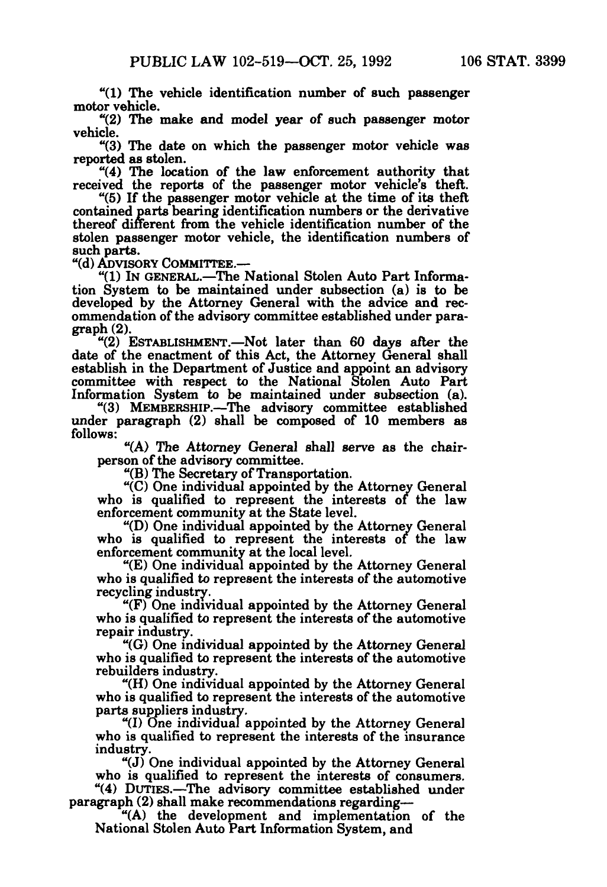"(1) The vehicle identification number of such passenger

"(2) The make and model year of such passenger motor vehicle.

"(3) The date on which the passenger motor vehicle was reported as stolen.

 $(4)$  The location of the law enforcement authority that received the reports of the passenger motor vehicle's theft. "(5) If the passenger motor vehicle at the time of its theft

contained parts bearing identification numbers or the derivative thereof different from the vehicle identification number of the stolen passenger motor vehicle, the identification numbers of

"(d) ADVISORY COMMITTEE.-

"(1) IN GENERAL.—The National Stolen Auto Part Information System to be maintained under subsection (a) is to be developed by the Attorney General with the advice and recommendation of the advisory committee established under paragraph (2).<br>
"(2) ESTABLISHMENT.—Not later than 60 days after the

date of the enactment of this Act, the Attorney General shall establish in the Department of Justice and appoint an advisory committee with respect to the National Stolen Auto Part Information System to be maintained under subsection (a). "(3) MEMBERSHIP.—The advisory committee established

under paragraph (2) shall be composed of 10 members as follows:

"(A) The Attorney General shall serve as the chair- person of the advisory committee. "(B) The Secretary of Transportation. "(C) One individual appointed by the Attorney General

who is qualified to represent the interests of the law enforcement community at the State level. enforcement community at the State level. "(D) One individual appointed by the Attorney General

who is qualified to represent the interests of the law

enforcement community at the local level. "(E) One individual appointed by the Attorney General who is qualified to represent the interests of the automotive recycling industry.

" $(F)$  One individual appointed by the Attorney General who is qualified to represent the interests of the automotive repair industry.

 $\degree$ (G) One individual appointed by the Attorney General who is qualified to represent the interests of the automotive rebuilders industry.

"(H) One individual appointed by the Attorney General who is qualified to represent the interests of the automotive parts suppliers industry.

"(I) One individual appointed by the Attorney General who is qualified to represent the interests of the insurance industry.

 $i$ (J) One individual appointed by the Attorney General who is qualified to represent the interests of consumers. "(4) DUTIES.—The advisory committee established under paragraph (2) shall make recommendations regarding.—

 $f(A)$  the development and implementation of the National Stolen Auto Part Information System, and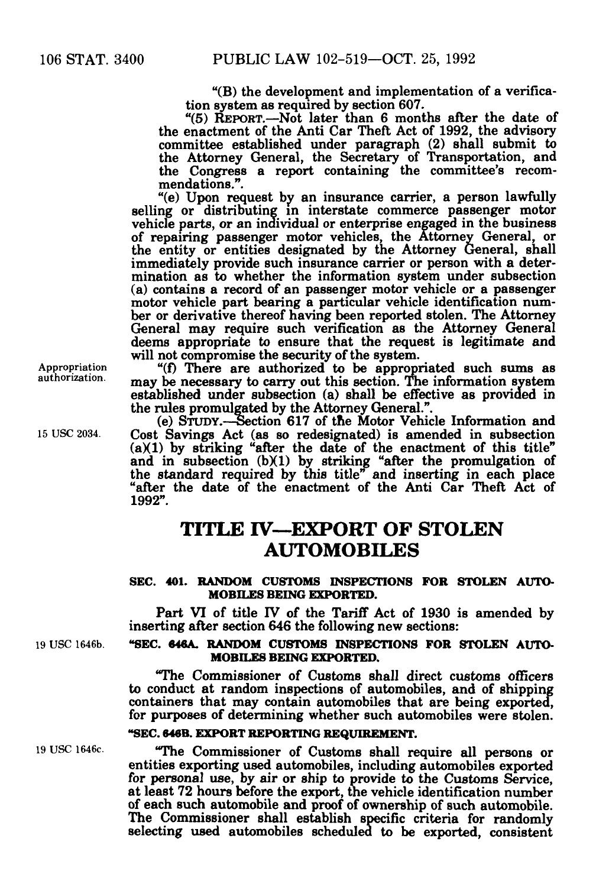"(B) the development and implementation of a verification system as required by section 607.<br>"(5) REPORT.—Not later than 6 months after the date of the enactment of the Anti Car Theft Act of 1992, the advisory committee established under paragraph (2) shall submit to the Attorney General, the Secretary of Transportation, and

the Congress a report containing the committee's recom mendations.". "(e) Upon request by an insurance carrier, a person lawfully selling or distributing in interstate commerce passenger motor selling or distributing in interstate commerce passenger motor<br>vehicle parts, or an individual or enterprise engaged in the business of repairing passenger motor vehicles, the Attorney General, or the entity or entities designated by the Attorney General, shall immediately provide such insurance carrier or person with a deter-<br>mination as to whether the information system under subsection (a) contains a record of an passenger motor vehicle or a passenger motor vehicle part bearing a particular vehicle identification number or derivative thereof having been reported stolen. The Attorney<br>General may require such verification as the Attorney General deems appropriate to ensure that the request is legitimate and will not compromise the security of the system.

Appropriation  $f(f)$  There are authorized to be appropriated such sums as authorization. may be necessary to carry out this section. The information system established under subsection (a) shall be effective as provided in the rules promulgated by the Attorney General.". (e) STUDY.—Section 617 of the Motor Vehicle Information and

15USC2034. Cost Savings Act (as so redesignated) is amended in subsection  $(a)(1)$  by striking "after the date of the enactment of this title" and in subsection (b)(1) by striking "after the promulgation of the standard required by this title" and inserting in each place "after the date of the enactment of the Anti Car Theft Act of 1992".

### **TITLE IV—EXPORT OF STOLEN AUTOMOBILES**

#### **SEC. 401. RANDOM CUSTOMS INSPECTIONS FOR STOLEN AUTO-MOBILES BEING EXPORTED.**

Part VI of title IV of the Tariff Act of 1930 is amended by inserting after section 646 the following new sections:

#### **19 USC 1646b. "SEC. 646A. RANDOM CUSTOMS INSPECTIONS FOR STOLEN AUTO-MOBILES BEING EXPORTED.**

"The Commissioner of Customs shall direct customs officers to conduct at random inspections of automobiles, and of shipping containers that may contain automobiles that are being exported, for purposes of determining whether such automobiles were stolen.

#### **"SEC. 646B. EXPORT REPORTING REQUIREMENT.**

19USC1646c. "The Commissioner of Customs shall require all persons or entities exporting used automobiles, including automobiles exported for personal use, by air or ship to provide to the Customs Service, at least 72 hours before the export, the vehicle identification number of each such automobile and proof of ownership of such automobile. The Commissioner shall establish specific criteria for randomly selecting used automobiles scheduled to be exported, consistent